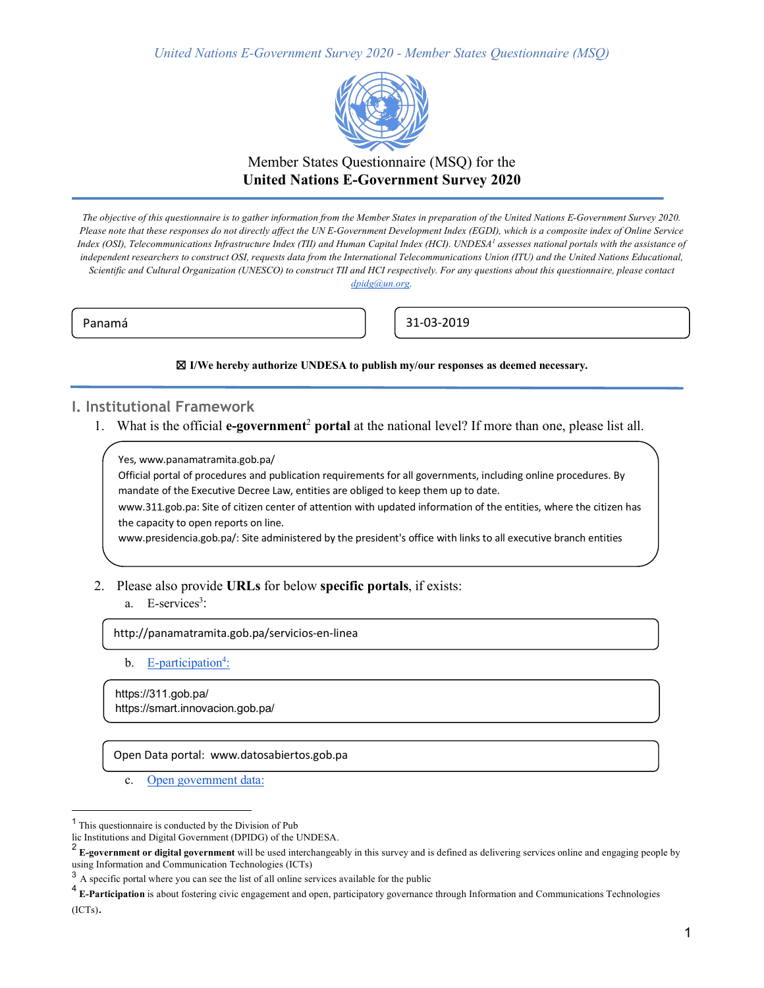

## Member States Questionnaire (MSQ) for the **United Nations E-Government Survey 2020**

*The objective of this questionnaire is to gather information from the Member States in preparation of the United Nations E-Government Survey 2020. Please note that these responses do not directly affect the UN E-Government Development Index (EGDI), which is a composite index of Online Service Index (OSI), Telecommunications Infrastructure Index (TII) and Human Capital Index (HCI). UNDESA<sup>1</sup> assesses national portals with the assistance of*  independent researchers to construct OSI, requests data from the International Telecommunications Union (ITU) and the United Nations Educational, *Scientific and Cultural Organization (UNESCO) to construct TII and HCI respectively. For any questions about this questionnaire, please contact* 

*dpidg@un.org.*

Panamá **1986 – Panamá 1996 – Panamá 1996 – Panamá** 2019

☒ **I/We hereby authorize UNDESA to publish my/our responses as deemed necessary.**

## **I. Institutional Framework**

1. What is the official **e-government**<sup>2</sup> **portal** at the national level? If more than one, please list all.

Yes, www.panamatramita.gob.pa/

Official portal of procedures and publication requirements for all governments, including online procedures. By mandate of the Executive Decree Law, entities are obliged to keep them up to date.

www.311.gob.pa: Site of citizen center of attention with updated information of the entities, where the citizen has the capacity to open reports on line.

www.presidencia.gob.pa/: Site administered by the president's office with links to all executive branch entities

#### 2. Please also provide **URLs** for below **specific portals**, if exists:

#### a. E-services<sup>3</sup>:

http://panamatramita.gob.pa/servicios-en-linea

b. E-participation<sup>4</sup>:

https://311.gob.pa/ https://smart.innovacion.gob.pa/

Open Data portal: www.datosabiertos.gob.pa

c. Open government data:

 <sup>1</sup> This questionnaire is conducted by the Division of Pub

lic Institutions and Digital Government (DPIDG) of the UNDESA.<br>
<sup>2</sup> E-government (CPIDG) of the UNDESA.

<sup>2</sup> **E-government or digital government** will be used interchangeably in this survey and is defined as delivering services online and engaging people by using Information and Communication Technologies (ICTs)

<sup>&</sup>lt;sup>3</sup> A specific portal where you can see the list of all online services available for the public

<sup>4</sup> **E-Participation** is about fostering civic engagement and open, participatory governance through Information and Communications Technologies (ICTs).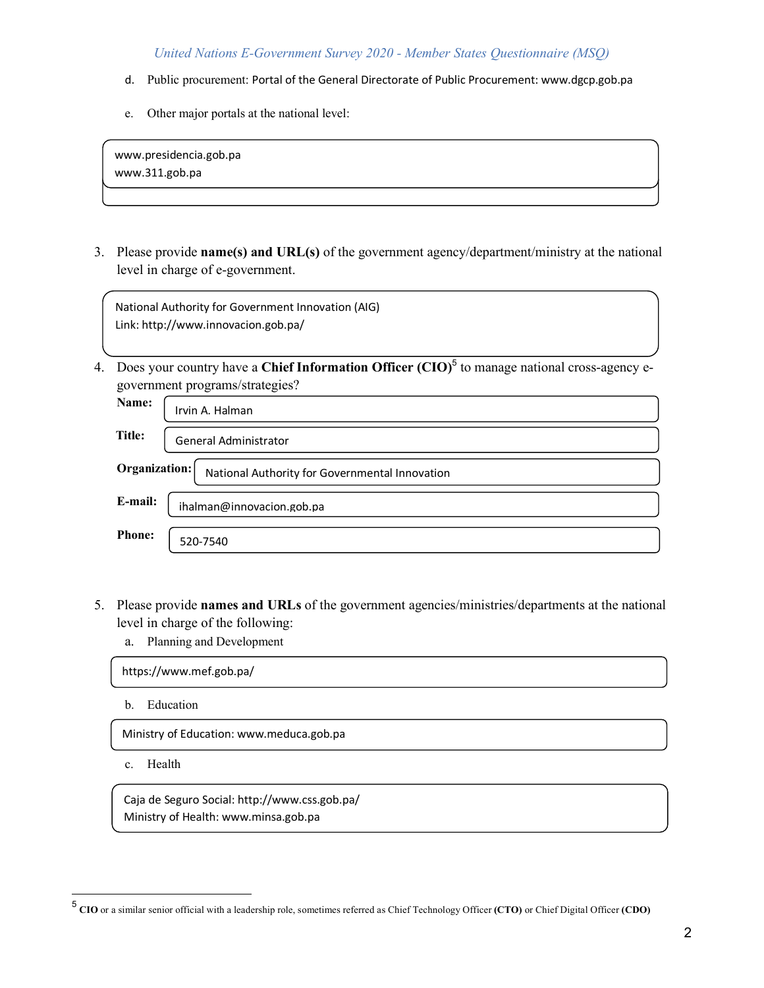- d. Public procurement: Portal of the General Directorate of Public Procurement: www.dgcp.gob.pa
- e. Other major portals at the national level:

www.presidencia.gob.pa www.311.gob.pa

j

3. Please provide **name(s) and URL(s)** of the government agency/department/ministry at the national level in charge of e-government.

National Authority for Government Innovation (AIG) Link: http://www.innovacion.gob.pa/

4. Does your country have a **Chief Information Officer** (CIO)<sup>5</sup> to manage national cross-agency egovernment programs/strategies?

| Name:                                                           | Irvin A. Halman           |  |  |
|-----------------------------------------------------------------|---------------------------|--|--|
| Title:                                                          | General Administrator     |  |  |
| Organization:<br>National Authority for Governmental Innovation |                           |  |  |
| E-mail:                                                         | ihalman@innovacion.gob.pa |  |  |
| <b>Phone:</b>                                                   | 520-7540                  |  |  |

- 5. Please provide **names and URLs** of the government agencies/ministries/departments at the national level in charge of the following:
	- a. Planning and Development

https://www.mef.gob.pa/

b. Education

Ministry of Education: www.meduca.gob.pa

c. Health

Caja de Seguro Social: http://www.css.gob.pa/ Ministry of Health: www.minsa.gob.pa

 <sup>5</sup> **CIO** or a similar senior official with a leadership role, sometimes referred as Chief Technology Officer **(CTO)** or Chief Digital Officer **(CDO)**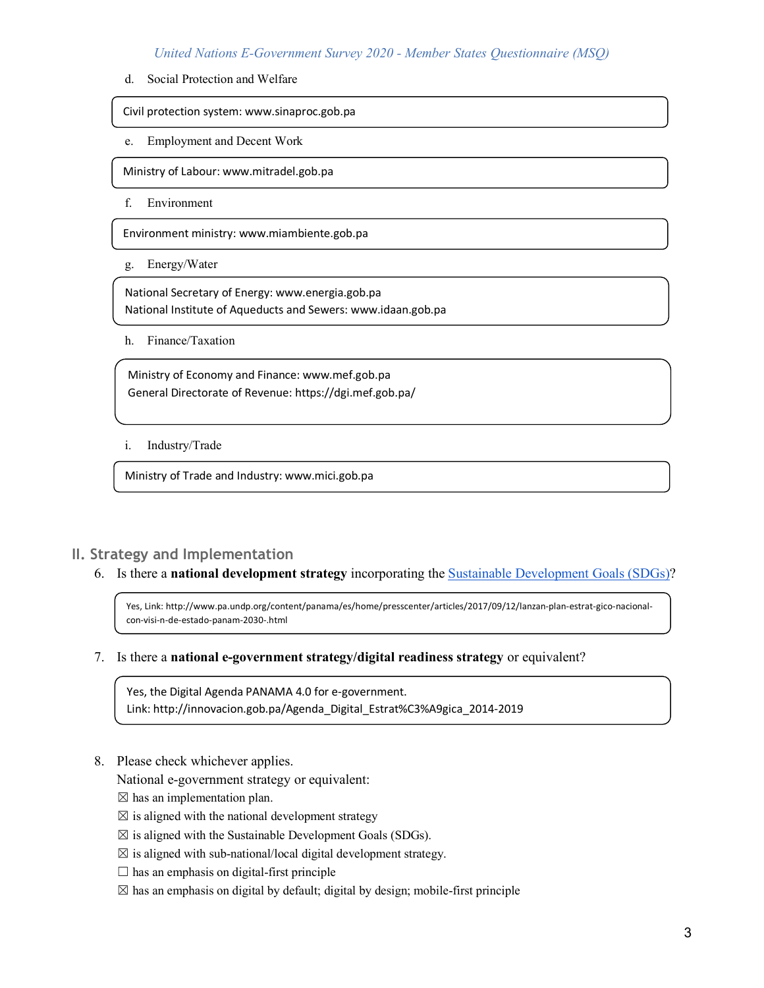d. Social Protection and Welfare

Civil protection system: www.sinaproc.gob.pa

e. Employment and Decent Work

Ministry of Labour: www.mitradel.gob.pa

f. Environment

Environment ministry: www.miambiente.gob.pa

g. Energy/Water

National Secretary of Energy: www.energia.gob.pa National Institute of Aqueducts and Sewers: www.idaan.gob.pa

h. Finance/Taxation

Ministry of Economy and Finance: www.mef.gob.pa General Directorate of Revenue: https://dgi.mef.gob.pa/

i. Industry/Trade

Ministry of Trade and Industry: www.mici.gob.pa

## **II. Strategy and Implementation**

6. Is there a **national development strategy** incorporating the Sustainable Development Goals (SDGs)?

Yes, Link: http://www.pa.undp.org/content/panama/es/home/presscenter/articles/2017/09/12/lanzan-plan-estrat-gico-nacionalcon-visi-n-de-estado-panam-2030-.html

7. Is there a **national e-government strategy/digital readiness strategy** or equivalent?

Yes, the Digital Agenda PANAMA 4.0 for e-government. Link: http://innovacion.gob.pa/Agenda\_Digital\_Estrat%C3%A9gica\_2014-2019

8. Please check whichever applies.

National e-government strategy or equivalent:

 $\boxtimes$  has an implementation plan.

- $\boxtimes$  is aligned with the national development strategy
- $\boxtimes$  is aligned with the Sustainable Development Goals (SDGs).
- $\boxtimes$  is aligned with sub-national/local digital development strategy.
- $\square$  has an emphasis on digital-first principle
- $\boxtimes$  has an emphasis on digital by default; digital by design; mobile-first principle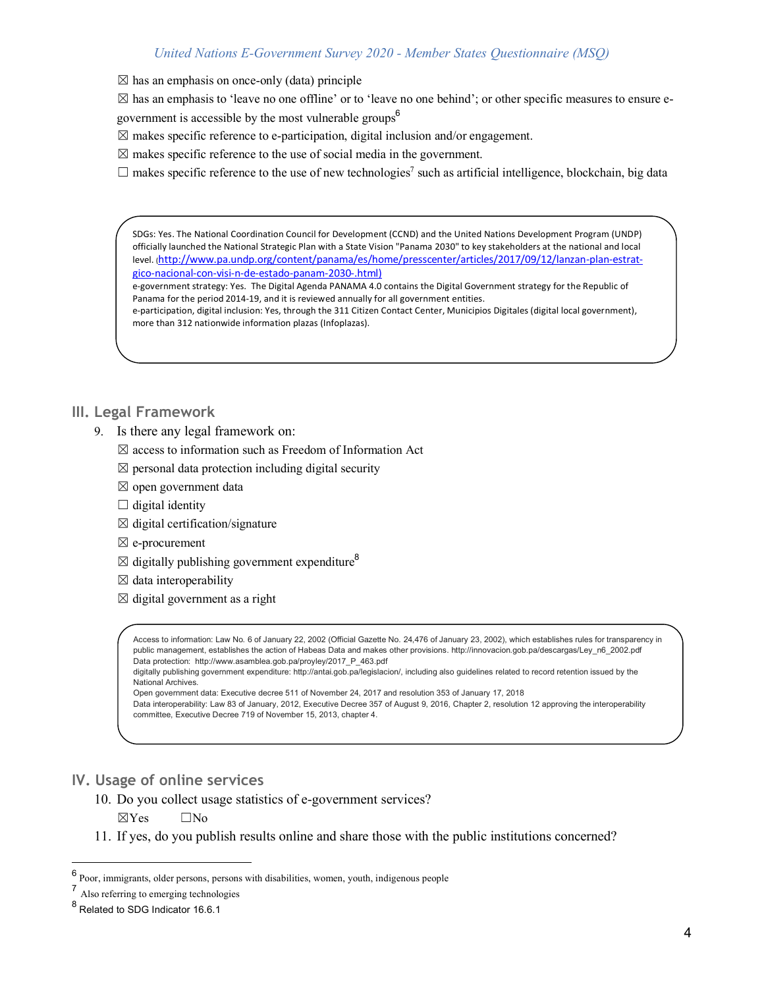$\boxtimes$  has an emphasis on once-only (data) principle

 $\boxtimes$  has an emphasis to 'leave no one offline' or to 'leave no one behind'; or other specific measures to ensure egovernment is accessible by the most vulnerable groups $\delta$ 

 $\boxtimes$  makes specific reference to e-participation, digital inclusion and/or engagement.

 $\boxtimes$  makes specific reference to the use of social media in the government.

 $\Box$  makes specific reference to the use of new technologies<sup>7</sup> such as artificial intelligence, blockchain, big data

SDGs: Yes. The National Coordination Council for Development (CCND) and the United Nations Development Program (UNDP) officially launched the National Strategic Plan with a State Vision "Panama 2030" to key stakeholders at the national and local level. (http://www.pa.undp.org/content/panama/es/home/presscenter/articles/2017/09/12/lanzan-plan-estratgico-nacional-con-visi-n-de-estado-panam-2030-.html)

e-government strategy: Yes. The Digital Agenda PANAMA 4.0 contains the Digital Government strategy for the Republic of Panama for the period 2014-19, and it is reviewed annually for all government entities.

e-participation, digital inclusion: Yes, through the 311 Citizen Contact Center, Municipios Digitales (digital local government), more than 312 nationwide information plazas (Infoplazas).

## **III. Legal Framework**

- 9. Is there any legal framework on:
	- $\boxtimes$  access to information such as Freedom of Information Act
	- $\boxtimes$  personal data protection including digital security
	- $\boxtimes$  open government data
	- $\Box$  digital identity
	- $\boxtimes$  digital certification/signature
	- ☒ e-procurement
	- $\boxtimes$  digitally publishing government expenditure<sup>8</sup>
	- $\boxtimes$  data interoperability
	- $\boxtimes$  digital government as a right

Access to information: Law No. 6 of January 22, 2002 (Official Gazette No. 24,476 of January 23, 2002), which establishes rules for transparency in public management, establishes the action of Habeas Data and makes other provisions, http://innovacion.gob.pa/descargas/Ley\_n6\_2002.pdf Data protection: http://www.asamblea.gob.pa/proyley/2017\_P\_463.pdf

digitally publishing government expenditure: http://antai.gob.pa/legislacion/, including also guidelines related to record retention issued by the National Archives.

Open government data: Executive decree 511 of November 24, 2017 and resolution 353 of January 17, 2018

Data interoperability: Law 83 of January, 2012, Executive Decree 357 of August 9, 2016, Chapter 2, resolution 12 approving the interoperability committee, Executive Decree 719 of November 15, 2013, chapter 4.

## **IV. Usage of online services**

- 10. Do you collect usage statistics of e-government services?
	- ☒Yes ☐No
- 11. If yes, do you publish results online and share those with the public institutions concerned?

 <sup>6</sup> Poor, immigrants, older persons, persons with disabilities, women, youth, indigenous people

<sup>7</sup> Also referring to emerging technologies

<sup>8</sup> Related to SDG Indicator 16.6.1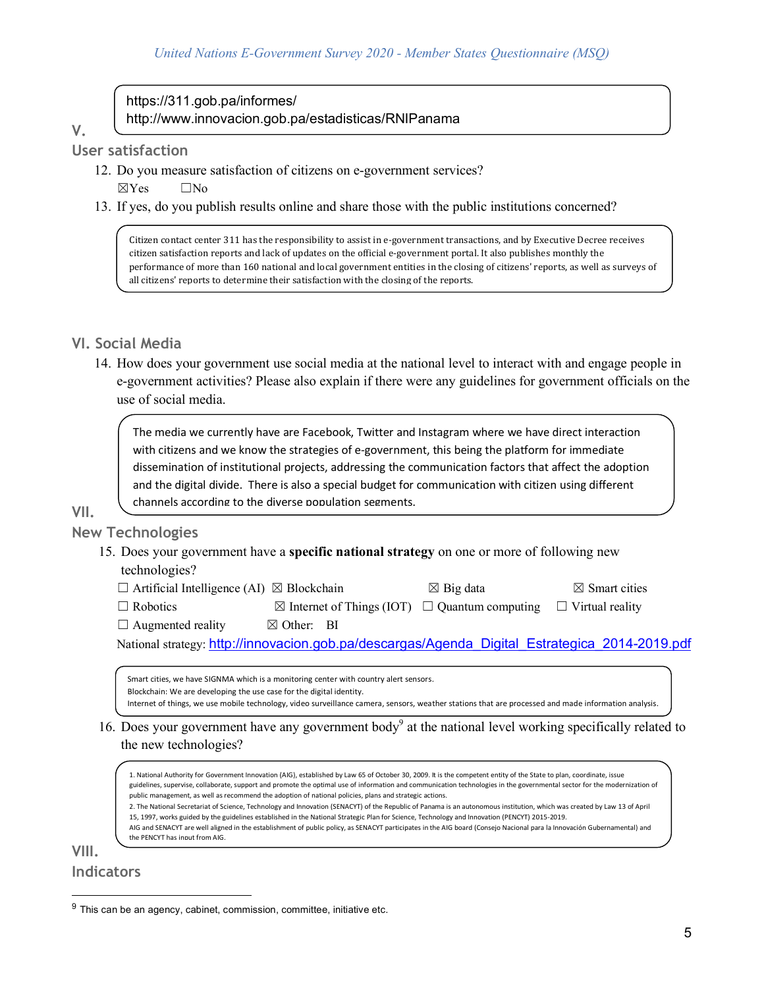## https://311.gob.pa/informes/ http://www.innovacion.gob.pa/estadisticas/RNIPanama

# **V.**

**User satisfaction** 

- 12. Do you measure satisfaction of citizens on e-government services?  $\boxtimes$ Yes  $\Box$ No
- 13. If yes, do you publish results online and share those with the public institutions concerned?

Citizen contact center 311 has the responsibility to assist in e-government transactions, and by Executive Decree receives citizen satisfaction reports and lack of updates on the official e-government portal. It also publishes monthly the performance of more than 160 national and local government entities in the closing of citizens' reports, as well as surveys of all citizens' reports to determine their satisfaction with the closing of the reports.

## **VI. Social Media**

14. How does your government use social media at the national level to interact with and engage people in e-government activities? Please also explain if there were any guidelines for government officials on the use of social media.

The media we currently have are Facebook, Twitter and Instagram where we have direct interaction with citizens and we know the strategies of e-government, this being the platform for immediate dissemination of institutional projects, addressing the communication factors that affect the adoption and the digital divide. There is also a special budget for communication with citizen using different channels according to the diverse population segments.

## **VII. New Technologies**

15. Does your government have a **specific national strategy** on one or more of following new technologies?

| $\Box$ Artificial Intelligence (AI) $\boxtimes$ Blockchain |  | $\boxtimes$ Big data | $\boxtimes$ Smart cities |
|------------------------------------------------------------|--|----------------------|--------------------------|
|------------------------------------------------------------|--|----------------------|--------------------------|

| $\Box$ Robotics |  |
|-----------------|--|
|-----------------|--|

| $\boxtimes$ Internet of Things (IOT) $\Box$ Quantum computing $\Box$ Virtual reality |  |
|--------------------------------------------------------------------------------------|--|

 $\Box$  Augmented reality  $\boxtimes$  Other: BI

National strategy: http://innovacion.gob.pa/descargas/Agenda\_Digital\_Estrategica\_2014-2019.pdf

Smart cities, we have SIGNMA which is a monitoring center with country alert sensors. Blockchain: We are developing the use case for the digital identity. Internet of things, we use mobile technology, video surveillance camera, sensors, weather stations that are processed and made information analysis.

## 16. Does your government have any government body<sup>9</sup> at the national level working specifically related to the new technologies?

1. National Authority for Government Innovation (AIG), established by Law 65 of October 30, 2009. It is the competent entity of the State to plan, coordinate, issue guidelines, supervise, collaborate, support and promote the optimal use of information and communication technologies in the governmental sector for the modernization of public management, as well as recommend the adoption of national policies, plans and strategic actions. 2. The National Secretariat of Science, Technology and Innovation (SENACYT) of the Republic of Panama is an autonomous institution, which was created by Law 13 of April

15, 1997, works guided by the guidelines established in the National Strategic Plan for Science, Technology and Innovation (PENCYT) 2015-2019. AIG and SENACYT are well aligned in the establishment of public policy, as SENACYT participates in the AIG board (Consejo Nacional para la Innovación Gubernamental) and the PENCYT has input from AIG.

## **VIII. Indicators**

 $<sup>9</sup>$  This can be an agency, cabinet, commission, committee, initiative etc.</sup>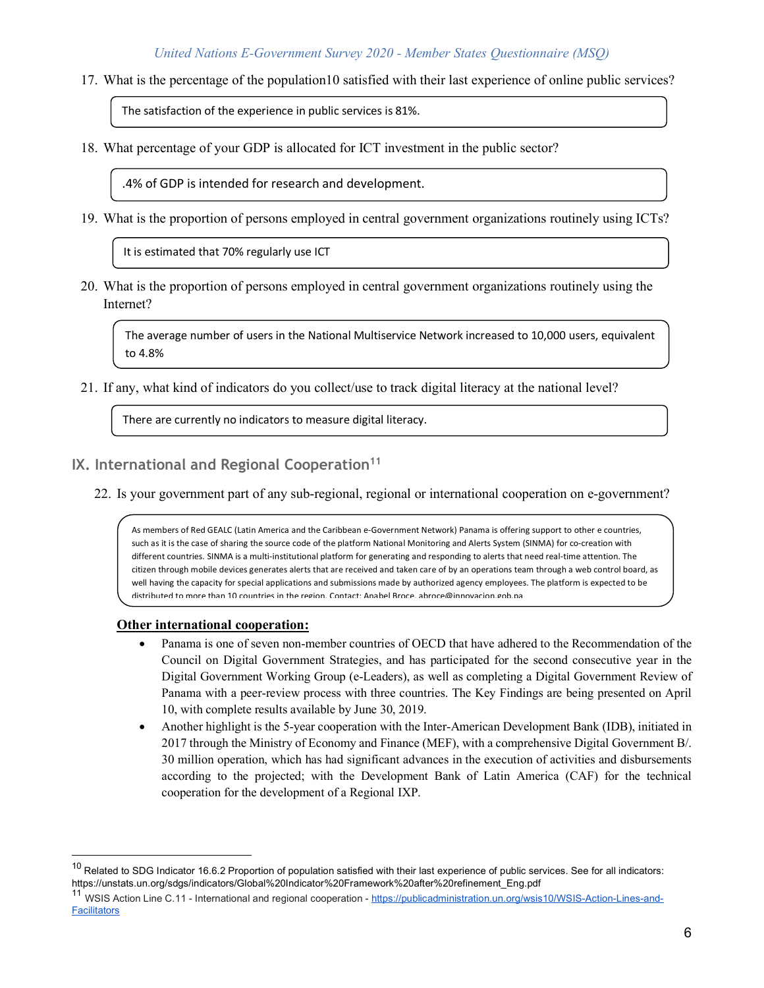17. What is the percentage of the population10 satisfied with their last experience of online public services?

The satisfaction of the experience in public services is 81%.

18. What percentage of your GDP is allocated for ICT investment in the public sector?

.4% of GDP is intended for research and development.

19. What is the proportion of persons employed in central government organizations routinely using ICTs?

It is estimated that 70% regularly use ICT

20. What is the proportion of persons employed in central government organizations routinely using the Internet?

The average number of users in the National Multiservice Network increased to 10,000 users, equivalent to 4.8%

21. If any, what kind of indicators do you collect/use to track digital literacy at the national level?

There are currently no indicators to measure digital literacy.

- **IX. International and Regional Cooperation<sup>11</sup>** 
	- 22. Is your government part of any sub-regional, regional or international cooperation on e-government?

As members of Red GEALC (Latin America and the Caribbean e-Government Network) Panama is offering support to other e countries, such as it is the case of sharing the source code of the platform National Monitoring and Alerts System (SINMA) for co-creation with different countries. SINMA is a multi-institutional platform for generating and responding to alerts that need real-time attention. The citizen through mobile devices generates alerts that are received and taken care of by an operations team through a web control board, as well having the capacity for special applications and submissions made by authorized agency employees. The platform is expected to be distributed to more than 10 countries in the region. Contact: Anabel Broce, abroce@innovacion.gob.pa

#### **Other international cooperation:**

- Panama is one of seven non-member countries of OECD that have adhered to the Recommendation of the Council on Digital Government Strategies, and has participated for the second consecutive year in the Digital Government Working Group (e-Leaders), as well as completing a Digital Government Review of Panama with a peer-review process with three countries. The Key Findings are being presented on April 10, with complete results available by June 30, 2019.
- Another highlight is the 5-year cooperation with the Inter-American Development Bank (IDB), initiated in 2017 through the Ministry of Economy and Finance (MEF), with a comprehensive Digital Government B/. 30 million operation, which has had significant advances in the execution of activities and disbursements according to the projected; with the Development Bank of Latin America (CAF) for the technical cooperation for the development of a Regional IXP.

 $10$  Related to SDG Indicator 16.6.2 Proportion of population satisfied with their last experience of public services. See for all indicators: https://unstats.un.org/sdgs/indicators/Global%20Indicator%20Framework%20after%20refinement\_Eng.pdf

<sup>&</sup>lt;sup>11</sup> WSIS Action Line C.11 - International and regional cooperation - https://publicadministration.un.org/wsis10/WSIS-Action-Lines-and-**Facilitators**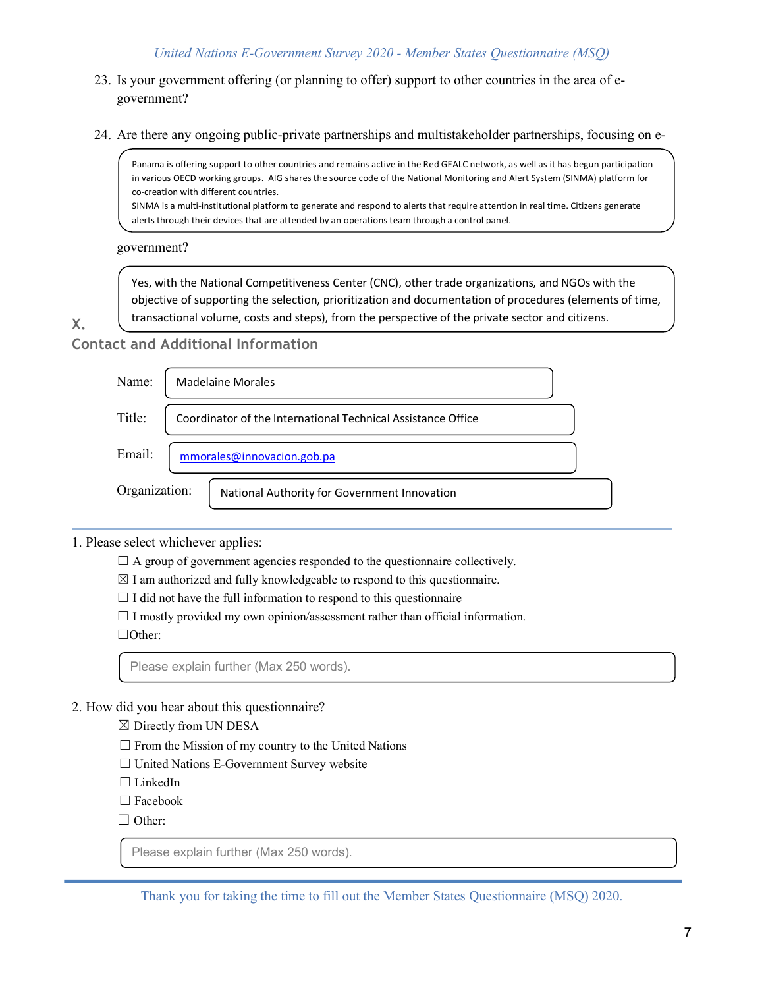- 23. Is your government offering (or planning to offer) support to other countries in the area of egovernment?
- 24. Are there any ongoing public-private partnerships and multistakeholder partnerships, focusing on e-

Panama is offering support to other countries and remains active in the Red GEALC network, as well as it has begun participation in various OECD working groups. AIG shares the source code of the National Monitoring and Alert System (SINMA) platform for co-creation with different countries.

SINMA is a multi-institutional platform to generate and respond to alerts that require attention in real time. Citizens generate alerts through their devices that are attended by an operations team through a control panel.

government?

Yes, with the National Competitiveness Center (CNC), other trade organizations, and NGOs with the objective of supporting the selection, prioritization and documentation of procedures (elements of time, transactional volume, costs and steps), from the perspective of the private sector and citizens.

**X.** 

**Contact and Additional Information** 

| Name:         | <b>Madelaine Morales</b>                                     |  |  |
|---------------|--------------------------------------------------------------|--|--|
| Title:        | Coordinator of the International Technical Assistance Office |  |  |
| Email:        | mmorales@innovacion.gob.pa                                   |  |  |
| Organization: | National Authority for Government Innovation                 |  |  |

1. Please select whichever applies:

 $\Box$  A group of government agencies responded to the questionnaire collectively.

 $\boxtimes$  I am authorized and fully knowledgeable to respond to this questionnaire.

 $\Box$  I did not have the full information to respond to this questionnaire

 $\Box$  I mostly provided my own opinion/assessment rather than official information.

☐Other:

Please explain further (Max 250 words).

## 2. How did you hear about this questionnaire?

- $\boxtimes$  Directly from UN DESA
- $\Box$  From the Mission of my country to the United Nations
- ☐ United Nations E-Government Survey website
- □ LinkedIn
- □ Facebook
- □ Other:

Please explain further (Max 250 words).

Thank you for taking the time to fill out the Member States Questionnaire (MSQ) 2020.